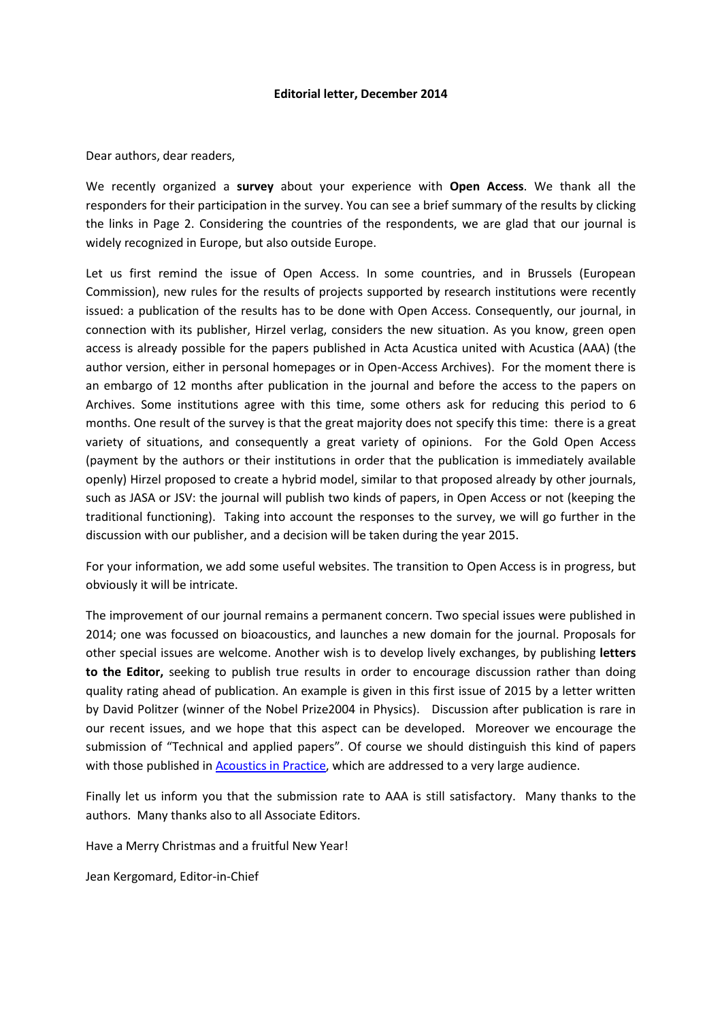## **Editorial letter, December 2014**

Dear authors, dear readers,

We recently organized a **survey** about your experience with **Open Access**. We thank all the responders for their participation in the survey. You can see a brief summary of the results by clicking the links in Page 2. Considering the countries of the respondents, we are glad that our journal is widely recognized in Europe, but also outside Europe.

Let us first remind the issue of Open Access. In some countries, and in Brussels (European Commission), new rules for the results of projects supported by research institutions were recently issued: a publication of the results has to be done with Open Access. Consequently, our journal, in connection with its publisher, Hirzel verlag, considers the new situation. As you know, green open access is already possible for the papers published in Acta Acustica united with Acustica (AAA) (the author version, either in personal homepages or in Open-Access Archives). For the moment there is an embargo of 12 months after publication in the journal and before the access to the papers on Archives. Some institutions agree with this time, some others ask for reducing this period to 6 months. One result of the survey is that the great majority does not specify this time: there is a great variety of situations, and consequently a great variety of opinions. For the Gold Open Access (payment by the authors or their institutions in order that the publication is immediately available openly) Hirzel proposed to create a hybrid model, similar to that proposed already by other journals, such as JASA or JSV: the journal will publish two kinds of papers, in Open Access or not (keeping the traditional functioning). Taking into account the responses to the survey, we will go further in the discussion with our publisher, and a decision will be taken during the year 2015.

For your information, we add some useful websites. The transition to Open Access is in progress, but obviously it will be intricate.

The improvement of our journal remains a permanent concern. Two special issues were published in 2014; one was focussed on bioacoustics, and launches a new domain for the journal. Proposals for other special issues are welcome. Another wish is to develop lively exchanges, by publishing **letters to the Editor,** seeking to publish true results in order to encourage discussion rather than doing quality rating ahead of publication. An example is given in this first issue of 2015 by a letter written by David Politzer (winner of the Nobel Prize2004 in Physics). Discussion after publication is rare in our recent issues, and we hope that this aspect can be developed. Moreover we encourage the submission of "Technical and applied papers". Of course we should distinguish this kind of papers with those published i[n Acoustics in Practice,](../AppData/Local/Microsoft/Windows/Temporary%20Internet%20Files/Content.Outlook/0EVY9747/yyy) which are addressed to a very large audience.

Finally let us inform you that the submission rate to AAA is still satisfactory. Many thanks to the authors. Many thanks also to all Associate Editors.

Have a Merry Christmas and a fruitful New Year!

Jean Kergomard, Editor-in-Chief